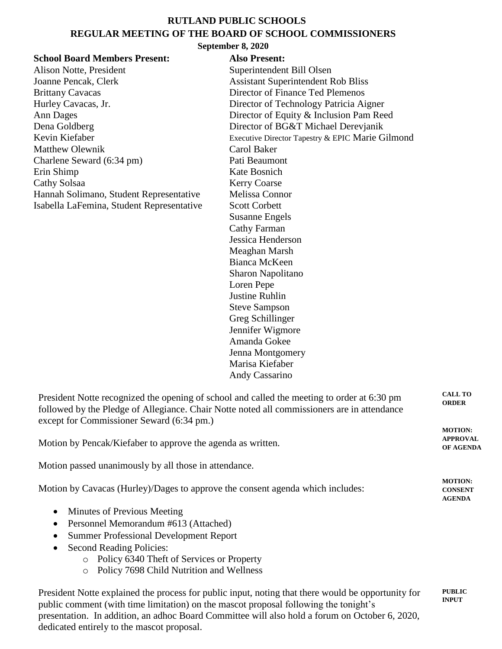## **RUTLAND PUBLIC SCHOOLS REGULAR MEETING OF THE BOARD OF SCHOOL COMMISSIONERS**

## **September 8, 2020**

| <b>School Board Members Present:</b><br>Alison Notte, President<br>Joanne Pencak, Clerk<br><b>Brittany Cavacas</b><br>Hurley Cavacas, Jr.<br>Ann Dages<br>Dena Goldberg<br>Kevin Kiefaber<br><b>Matthew Olewnik</b><br>Charlene Seward (6:34 pm)<br>Erin Shimp<br>Cathy Solsaa<br>Hannah Solimano, Student Representative<br>Isabella LaFemina, Student Representative | DUPRIMOLI O, 2020<br><b>Also Present:</b><br>Superintendent Bill Olsen<br><b>Assistant Superintendent Rob Bliss</b><br>Director of Finance Ted Plemenos<br>Director of Technology Patricia Aigner<br>Director of Equity & Inclusion Pam Reed<br>Director of BG&T Michael Derevjanik<br>Executive Director Tapestry & EPIC Marie Gilmond<br>Carol Baker<br>Pati Beaumont<br>Kate Bosnich<br><b>Kerry Coarse</b><br>Melissa Connor<br><b>Scott Corbett</b><br><b>Susanne Engels</b><br><b>Cathy Farman</b><br>Jessica Henderson<br>Meaghan Marsh<br>Bianca McKeen<br>Sharon Napolitano<br>Loren Pepe<br><b>Justine Ruhlin</b><br><b>Steve Sampson</b><br>Greg Schillinger<br>Jennifer Wigmore<br>Amanda Gokee<br>Jenna Montgomery<br>Marisa Kiefaber<br>Andy Cassarino |
|------------------------------------------------------------------------------------------------------------------------------------------------------------------------------------------------------------------------------------------------------------------------------------------------------------------------------------------------------------------------|----------------------------------------------------------------------------------------------------------------------------------------------------------------------------------------------------------------------------------------------------------------------------------------------------------------------------------------------------------------------------------------------------------------------------------------------------------------------------------------------------------------------------------------------------------------------------------------------------------------------------------------------------------------------------------------------------------------------------------------------------------------------|
| President Notte recognized the opening of school and called the meeting to order at 6:30 pm<br>followed by the Pledge of Allegiance. Chair Notte noted all commissioners are in attendance<br>except for Commissioner Seward (6:34 pm.)                                                                                                                                |                                                                                                                                                                                                                                                                                                                                                                                                                                                                                                                                                                                                                                                                                                                                                                      |
| Motion by Pencak/Kiefaber to approve the agenda as written.                                                                                                                                                                                                                                                                                                            |                                                                                                                                                                                                                                                                                                                                                                                                                                                                                                                                                                                                                                                                                                                                                                      |
| Motion passed unanimously by all those in attendance.                                                                                                                                                                                                                                                                                                                  |                                                                                                                                                                                                                                                                                                                                                                                                                                                                                                                                                                                                                                                                                                                                                                      |
| Motion by Cavacas (Hurley)/Dages to approve the consent agenda which includes:                                                                                                                                                                                                                                                                                         |                                                                                                                                                                                                                                                                                                                                                                                                                                                                                                                                                                                                                                                                                                                                                                      |
| Minutes of Previous Meeting<br>Personnel Memorandum #613 (Attached)<br><b>Summer Professional Development Report</b><br><b>Second Reading Policies:</b><br>o Policy 6340 Theft of Services or Property<br>Policy 7698 Child Nutrition and Wellness<br>$\circ$                                                                                                          |                                                                                                                                                                                                                                                                                                                                                                                                                                                                                                                                                                                                                                                                                                                                                                      |
|                                                                                                                                                                                                                                                                                                                                                                        | President Notte explained the process for public input, noting that there would be opportunity for                                                                                                                                                                                                                                                                                                                                                                                                                                                                                                                                                                                                                                                                   |

public comment (with time limitation) on the mascot proposal following the tonight's presentation. In addition, an adhoc Board Committee will also hold a forum on October 6, 2020, dedicated entirely to the mascot proposal.

**CALL TO ORDER**

**MOTION: APPROVAL OF AGENDA**

**MOTION: CONSENT AGENDA**

**PUBLIC INPUT**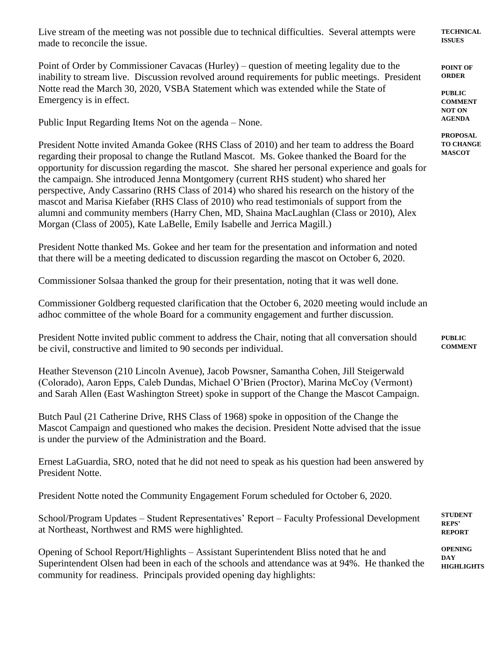Live stream of the meeting was not possible due to technical difficulties. Several attempts were made to reconcile the issue.

Point of Order by Commissioner Cavacas (Hurley) – question of meeting legality due to the inability to stream live. Discussion revolved around requirements for public meetings. President Notte read the March 30, 2020, VSBA Statement which was extended while the State of Emergency is in effect.

Public Input Regarding Items Not on the agenda – None.

President Notte invited Amanda Gokee (RHS Class of 2010) and her team to address the Board regarding their proposal to change the Rutland Mascot. Ms. Gokee thanked the Board for the opportunity for discussion regarding the mascot. She shared her personal experience and goals for the campaign. She introduced Jenna Montgomery (current RHS student) who shared her perspective, Andy Cassarino (RHS Class of 2014) who shared his research on the history of the mascot and Marisa Kiefaber (RHS Class of 2010) who read testimonials of support from the alumni and community members (Harry Chen, MD, Shaina MacLaughlan (Class or 2010), Alex Morgan (Class of 2005), Kate LaBelle, Emily Isabelle and Jerrica Magill.)

President Notte thanked Ms. Gokee and her team for the presentation and information and noted that there will be a meeting dedicated to discussion regarding the mascot on October 6, 2020.

Commissioner Solsaa thanked the group for their presentation, noting that it was well done.

Commissioner Goldberg requested clarification that the October 6, 2020 meeting would include an adhoc committee of the whole Board for a community engagement and further discussion.

President Notte invited public comment to address the Chair, noting that all conversation should be civil, constructive and limited to 90 seconds per individual.

Heather Stevenson (210 Lincoln Avenue), Jacob Powsner, Samantha Cohen, Jill Steigerwald (Colorado), Aaron Epps, Caleb Dundas, Michael O'Brien (Proctor), Marina McCoy (Vermont) and Sarah Allen (East Washington Street) spoke in support of the Change the Mascot Campaign.

Butch Paul (21 Catherine Drive, RHS Class of 1968) spoke in opposition of the Change the Mascot Campaign and questioned who makes the decision. President Notte advised that the issue is under the purview of the Administration and the Board.

Ernest LaGuardia, SRO, noted that he did not need to speak as his question had been answered by President Notte.

President Notte noted the Community Engagement Forum scheduled for October 6, 2020.

School/Program Updates – Student Representatives' Report – Faculty Professional Development at Northeast, Northwest and RMS were highlighted.

Opening of School Report/Highlights – Assistant Superintendent Bliss noted that he and Superintendent Olsen had been in each of the schools and attendance was at 94%. He thanked the community for readiness. Principals provided opening day highlights:

**TECHNICAL ISSUES**

**POINT OF ORDER**

**PUBLIC COMMENT NOT ON AGENDA**

**PROPOSAL TO CHANGE MASCOT**

**STUDENT REPS' REPORT**

**PUBLIC COMMENT**

**OPENING DAY HIGHLIGHTS**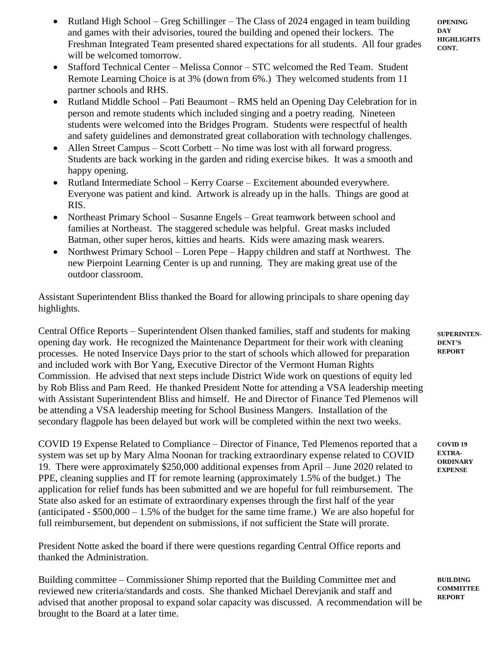• Rutland High School – Greg Schillinger – The Class of 2024 engaged in team building and games with their advisories, toured the building and opened their lockers. The Freshman Integrated Team presented shared expectations for all students. All four grades will be welcomed tomorrow.

**OPENING DAY HIGHLIGHTS CONT.**

- Stafford Technical Center Melissa Connor STC welcomed the Red Team. Student Remote Learning Choice is at 3% (down from 6%.) They welcomed students from 11 partner schools and RHS.
- Rutland Middle School Pati Beaumont RMS held an Opening Day Celebration for in person and remote students which included singing and a poetry reading. Nineteen students were welcomed into the Bridges Program. Students were respectful of health and safety guidelines and demonstrated great collaboration with technology challenges.
- Allen Street Campus Scott Corbett No time was lost with all forward progress. Students are back working in the garden and riding exercise bikes. It was a smooth and happy opening.
- Rutland Intermediate School Kerry Coarse Excitement abounded everywhere. Everyone was patient and kind. Artwork is already up in the halls. Things are good at RIS.
- Northeast Primary School Susanne Engels Great teamwork between school and families at Northeast. The staggered schedule was helpful. Great masks included Batman, other super heros, kitties and hearts. Kids were amazing mask wearers.
- Northwest Primary School Loren Pepe Happy children and staff at Northwest. The new Pierpoint Learning Center is up and running. They are making great use of the outdoor classroom.

Assistant Superintendent Bliss thanked the Board for allowing principals to share opening day highlights.

Central Office Reports – Superintendent Olsen thanked families, staff and students for making opening day work. He recognized the Maintenance Department for their work with cleaning processes. He noted Inservice Days prior to the start of schools which allowed for preparation and included work with Bor Yang, Executive Director of the Vermont Human Rights Commission. He advised that next steps include District Wide work on questions of equity led by Rob Bliss and Pam Reed. He thanked President Notte for attending a VSA leadership meeting with Assistant Superintendent Bliss and himself. He and Director of Finance Ted Plemenos will be attending a VSA leadership meeting for School Business Mangers. Installation of the secondary flagpole has been delayed but work will be completed within the next two weeks.

COVID 19 Expense Related to Compliance – Director of Finance, Ted Plemenos reported that a system was set up by Mary Alma Noonan for tracking extraordinary expense related to COVID 19. There were approximately \$250,000 additional expenses from April – June 2020 related to PPE, cleaning supplies and IT for remote learning (approximately 1.5% of the budget.) The application for relief funds has been submitted and we are hopeful for full reimbursement. The State also asked for an estimate of extraordinary expenses through the first half of the year (anticipated -  $$500,000 - 1.5\%$  of the budget for the same time frame.) We are also hopeful for full reimbursement, but dependent on submissions, if not sufficient the State will prorate.

President Notte asked the board if there were questions regarding Central Office reports and thanked the Administration.

Building committee – Commissioner Shimp reported that the Building Committee met and reviewed new criteria/standards and costs. She thanked Michael Derevjanik and staff and advised that another proposal to expand solar capacity was discussed. A recommendation will be brought to the Board at a later time.

**SUPERINTEN-DENT'S REPORT**

**COVID 19 EXTRA-ORDINARY EXPENSE**

**BUILDING COMMITTEE REPORT**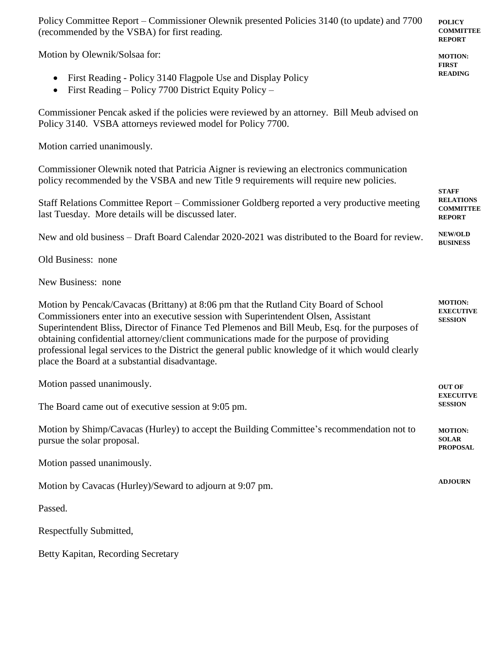| Policy Committee Report – Commissioner Olewnik presented Policies 3140 (to update) and 7700<br>(recommended by the VSBA) for first reading.                                                                                                                                                                                                                                                                                                                                                                                     |                                                                       |  |  |                                                                                                                                                             |
|---------------------------------------------------------------------------------------------------------------------------------------------------------------------------------------------------------------------------------------------------------------------------------------------------------------------------------------------------------------------------------------------------------------------------------------------------------------------------------------------------------------------------------|-----------------------------------------------------------------------|--|--|-------------------------------------------------------------------------------------------------------------------------------------------------------------|
| Motion by Olewnik/Solsaa for:<br>First Reading - Policy 3140 Flagpole Use and Display Policy<br>First Reading – Policy 7700 District Equity Policy –                                                                                                                                                                                                                                                                                                                                                                            |                                                                       |  |  |                                                                                                                                                             |
|                                                                                                                                                                                                                                                                                                                                                                                                                                                                                                                                 |                                                                       |  |  | Commissioner Pencak asked if the policies were reviewed by an attorney. Bill Meub advised on<br>Policy 3140. VSBA attorneys reviewed model for Policy 7700. |
| Motion carried unanimously.                                                                                                                                                                                                                                                                                                                                                                                                                                                                                                     |                                                                       |  |  |                                                                                                                                                             |
| Commissioner Olewnik noted that Patricia Aigner is reviewing an electronics communication<br>policy recommended by the VSBA and new Title 9 requirements will require new policies.                                                                                                                                                                                                                                                                                                                                             |                                                                       |  |  |                                                                                                                                                             |
| Staff Relations Committee Report - Commissioner Goldberg reported a very productive meeting<br>last Tuesday. More details will be discussed later.                                                                                                                                                                                                                                                                                                                                                                              | <b>STAFF</b><br><b>RELATIONS</b><br><b>COMMITTEE</b><br><b>REPORT</b> |  |  |                                                                                                                                                             |
| New and old business – Draft Board Calendar 2020-2021 was distributed to the Board for review.                                                                                                                                                                                                                                                                                                                                                                                                                                  | <b>NEW/OLD</b><br><b>BUSINESS</b>                                     |  |  |                                                                                                                                                             |
| Old Business: none                                                                                                                                                                                                                                                                                                                                                                                                                                                                                                              |                                                                       |  |  |                                                                                                                                                             |
| New Business: none                                                                                                                                                                                                                                                                                                                                                                                                                                                                                                              |                                                                       |  |  |                                                                                                                                                             |
| Motion by Pencak/Cavacas (Brittany) at 8:06 pm that the Rutland City Board of School<br>Commissioners enter into an executive session with Superintendent Olsen, Assistant<br>Superintendent Bliss, Director of Finance Ted Plemenos and Bill Meub, Esq. for the purposes of<br>obtaining confidential attorney/client communications made for the purpose of providing<br>professional legal services to the District the general public knowledge of it which would clearly<br>place the Board at a substantial disadvantage. | <b>MOTION:</b><br><b>EXECUTIVE</b><br><b>SESSION</b>                  |  |  |                                                                                                                                                             |
| Motion passed unanimously.                                                                                                                                                                                                                                                                                                                                                                                                                                                                                                      | <b>OUT OF</b><br><b>EXECUITVE</b>                                     |  |  |                                                                                                                                                             |
| The Board came out of executive session at 9:05 pm.                                                                                                                                                                                                                                                                                                                                                                                                                                                                             |                                                                       |  |  |                                                                                                                                                             |
| Motion by Shimp/Cavacas (Hurley) to accept the Building Committee's recommendation not to<br>pursue the solar proposal.                                                                                                                                                                                                                                                                                                                                                                                                         | <b>MOTION:</b><br><b>SOLAR</b><br><b>PROPOSAL</b>                     |  |  |                                                                                                                                                             |
| Motion passed unanimously.                                                                                                                                                                                                                                                                                                                                                                                                                                                                                                      |                                                                       |  |  |                                                                                                                                                             |
| Motion by Cavacas (Hurley)/Seward to adjourn at 9:07 pm.                                                                                                                                                                                                                                                                                                                                                                                                                                                                        | <b>ADJOURN</b>                                                        |  |  |                                                                                                                                                             |
| Passed.                                                                                                                                                                                                                                                                                                                                                                                                                                                                                                                         |                                                                       |  |  |                                                                                                                                                             |
| Respectfully Submitted,                                                                                                                                                                                                                                                                                                                                                                                                                                                                                                         |                                                                       |  |  |                                                                                                                                                             |
| Betty Kapitan, Recording Secretary                                                                                                                                                                                                                                                                                                                                                                                                                                                                                              |                                                                       |  |  |                                                                                                                                                             |